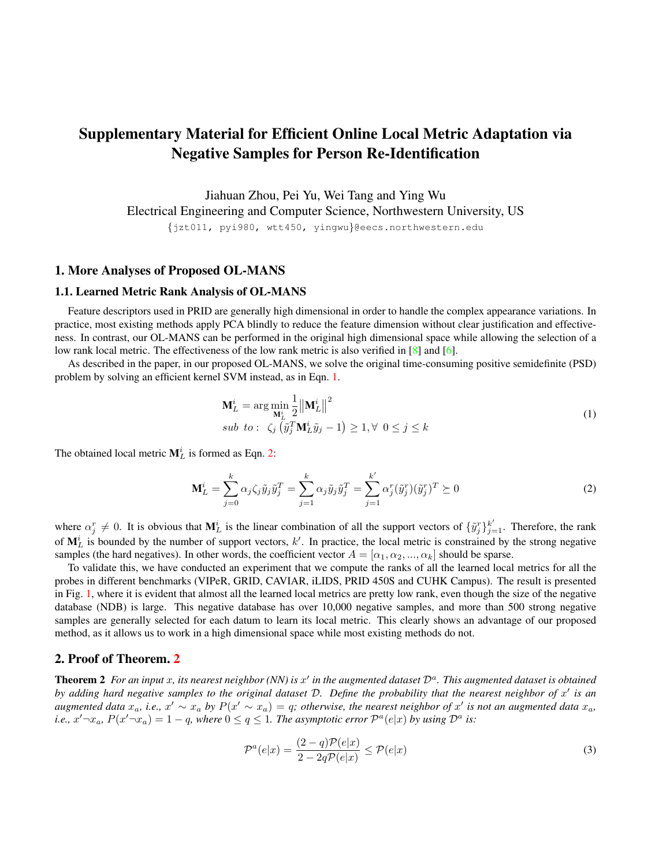# <span id="page-0-3"></span>Supplementary Material for Efficient Online Local Metric Adaptation via Negative Samples for Person Re-Identification

Jiahuan Zhou, Pei Yu, Wei Tang and Ying Wu Electrical Engineering and Computer Science, Northwestern University, US {jzt011, pyi980, wtt450, yingwu}@eecs.northwestern.edu

## 1. More Analyses of Proposed OL-MANS

#### 1.1. Learned Metric Rank Analysis of OL-MANS

Feature descriptors used in PRID are generally high dimensional in order to handle the complex appearance variations. In practice, most existing methods apply PCA blindly to reduce the feature dimension without clear justification and effectiveness. In contrast, our OL-MANS can be performed in the original high dimensional space while allowing the selection of a low rank local metric. The effectiveness of the low rank metric is also verified in [\[8\]](#page-6-0) and [\[6\]](#page-6-1).

As described in the paper, in our proposed OL-MANS, we solve the original time-consuming positive semidefinite (PSD) problem by solving an efficient kernel SVM instead, as in Eqn. [1.](#page-0-0)

<span id="page-0-0"></span>
$$
\mathbf{M}_{L}^{i} = \arg\min_{\mathbf{M}_{L}^{i}} \frac{1}{2} ||\mathbf{M}_{L}^{i}||^{2}
$$
  
\n*sub to*:  $\zeta_{j} \left( \tilde{y}_{j}^{T} \mathbf{M}_{L}^{i} \tilde{y}_{j} - 1 \right) \geq 1, \forall \ 0 \leq j \leq k$  (1)

The obtained local metric  $M_L^i$  is formed as Eqn. [2:](#page-0-1)

<span id="page-0-1"></span>
$$
\mathbf{M}_{L}^{i} = \sum_{j=0}^{k} \alpha_{j} \zeta_{j} \tilde{y}_{j} \tilde{y}_{j}^{T} = \sum_{j=1}^{k} \alpha_{j} \tilde{y}_{j} \tilde{y}_{j}^{T} = \sum_{j=1}^{k'} \alpha_{j}^{r} (\tilde{y}_{j}^{r}) (\tilde{y}_{j}^{r})^{T} \succeq 0
$$
\n(2)

where  $\alpha_j^r \neq 0$ . It is obvious that  $M_L^i$  is the linear combination of all the support vectors of  $\{\tilde{y}_j^r\}_{j=1}^k$ . Therefore, the rank of  $M_L^i$  is bounded by the number of support vectors, k'. In practice, the local metric is constrained by the strong negative samples (the hard negatives). In other words, the coefficient vector  $A = [\alpha_1, \alpha_2, ..., \alpha_k]$  should be sparse.

To validate this, we have conducted an experiment that we compute the ranks of all the learned local metrics for all the probes in different benchmarks (VIPeR, GRID, CAVIAR, iLIDS, PRID 450S and CUHK Campus). The result is presented in Fig. [1,](#page-1-0) where it is evident that almost all the learned local metrics are pretty low rank, even though the size of the negative database (NDB) is large. This negative database has over 10,000 negative samples, and more than 500 strong negative samples are generally selected for each datum to learn its local metric. This clearly shows an advantage of our proposed method, as it allows us to work in a high dimensional space while most existing methods do not.

### 2. Proof of Theorem. [2](#page-0-2)

<span id="page-0-2"></span>**Theorem 2** For an input x, its nearest neighbor (NN) is  $x'$  in the augmented dataset  $D^a$ . This augmented dataset is obtained by adding hard negative samples to the original dataset D. Define the probability that the nearest neighbor of x' is an augmented data  $x_a$ , i.e.,  $x' \sim x_a$  by  $P(x' \sim x_a) = q$ ; otherwise, the nearest neighbor of  $x'$  is not an augmented data  $x_a$ , *i.e.,*  $x' \neg x_a$ ,  $P(x' \neg x_a) = 1 - q$ , where  $0 \le q \le 1$ . The asymptotic error  $\mathcal{P}^a(e|x)$  by using  $\mathcal{D}^a$  is:

$$
\mathcal{P}^{a}(e|x) = \frac{(2-q)\mathcal{P}(e|x)}{2 - 2q\mathcal{P}(e|x)} \le \mathcal{P}(e|x)
$$
\n(3)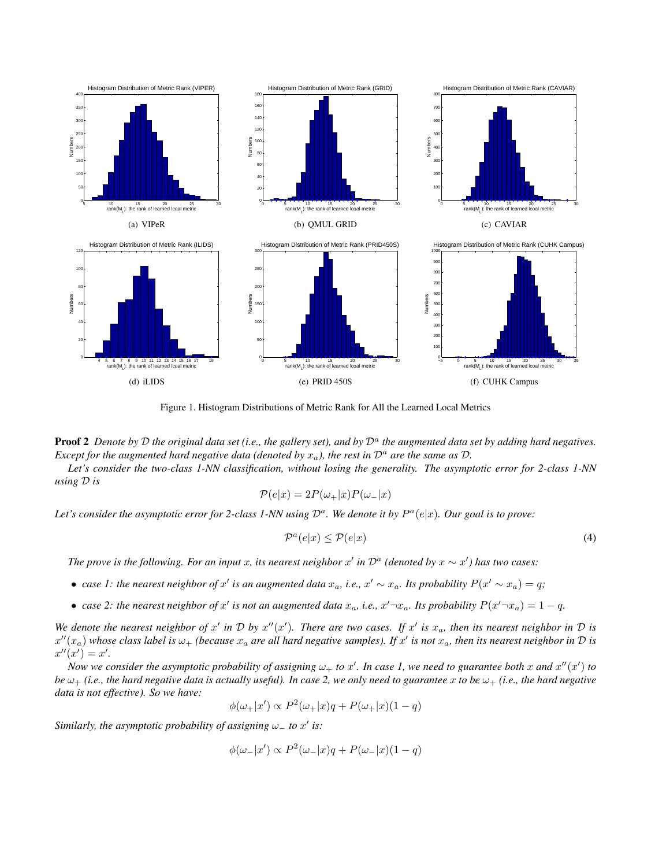

<span id="page-1-0"></span>Figure 1. Histogram Distributions of Metric Rank for All the Learned Local Metrics

Proof 2 Denote by D the original data set (i.e., the gallery set), and by  $\mathcal{D}^a$  the augmented data set by adding hard negatives. *Except for the augmented hard negative data (denoted by*  $x_a$ ), the rest in  $\mathcal{D}^a$  are the same as  $\mathcal{D}$ .

*Let's consider the two-class 1-NN classification, without losing the generality. The asymptotic error for 2-class 1-NN using* D *is*

$$
\mathcal{P}(e|x) = 2P(\omega_+|x)P(\omega_-|x)
$$

Let's consider the asymptotic error for 2-class 1-NN using  $\mathcal{D}^a$ . We denote it by  $P^a(e|x)$ . Our goal is to prove:

$$
\mathcal{P}^a(e|x) \le \mathcal{P}(e|x) \tag{4}
$$

*The prove is the following. For an input* x, its nearest neighbor x' in  $\mathcal{D}^a$  (denoted by  $x \sim x'$ ) has two cases:

- *case 1: the nearest neighbor of*  $x'$  *is an augmented data*  $x_a$ *, i.e.,*  $x' \sim x_a$ *. Its probability*  $P(x' \sim x_a) = q$ *;*
- case 2: the nearest neighbor of x' is not an augmented data  $x_a$ , i.e.,  $x' \neg x_a$ . Its probability  $P(x' \neg x_a) = 1 q$ .

We denote the nearest neighbor of x' in D by  $x''(x')$ . There are two cases. If  $x'$  is  $x_a$ , then its nearest neighbor in D is  $x''(x_a)$  whose class label is  $\omega_+$  (because  $x_a$  are all hard negative samples). If  $x'$  is not  $x_a$ , then its nearest neighbor in  $\cal D$  is  $x''(x') = x'.$ 

*Now we consider the asymptotic probability of assigning*  $\omega_+$  to  $x'$ . In case 1, we need to guarantee both x and  $x''(x')$  to *be*  $\omega_+$  *(i.e., the hard negative data is actually useful). In case 2, we only need to guarantee* x *to be*  $\omega_+$  *(i.e., the hard negative data is not effective). So we have:*

$$
\phi(\omega_+|x') \propto P^2(\omega_+|x)q + P(\omega_+|x)(1-q)
$$

*Similarly, the asymptotic probability of assigning*  $\omega_{-}$  to  $x'$  is:

$$
\phi(\omega_-|x') \propto P^2(\omega_-|x)q + P(\omega_-|x)(1-q)
$$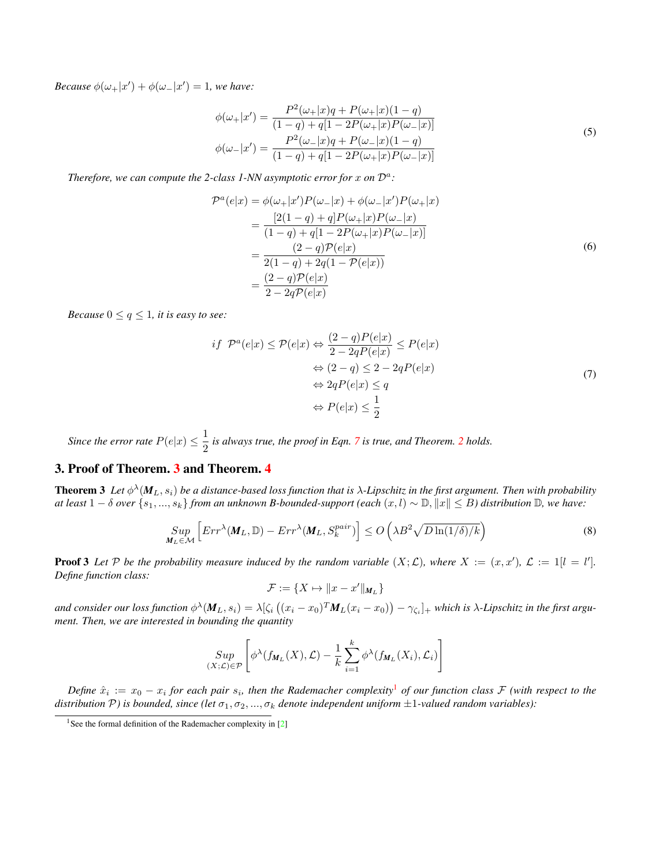<span id="page-2-3"></span>*Because*  $\phi(\omega_+|x') + \phi(\omega_-|x') = 1$ *, we have:* 

$$
\phi(\omega_{+}|x') = \frac{P^2(\omega_{+}|x)q + P(\omega_{+}|x)(1-q)}{(1-q) + q[1 - 2P(\omega_{+}|x)P(\omega_{-}|x)]}
$$
  

$$
\phi(\omega_{-}|x') = \frac{P^2(\omega_{-}|x)q + P(\omega_{-}|x)(1-q)}{(1-q) + q[1 - 2P(\omega_{+}|x)P(\omega_{-}|x)]}
$$
(5)

Therefore, we can compute the 2-class 1-NN asymptotic error for  $x$  on  $\mathcal{D}^a$ :

$$
\mathcal{P}^{a}(e|x) = \phi(\omega_{+}|x')P(\omega_{-}|x) + \phi(\omega_{-}|x')P(\omega_{+}|x) \n= \frac{[2(1-q) + q]P(\omega_{+}|x)P(\omega_{-}|x)}{(1-q) + q[1 - 2P(\omega_{+}|x)P(\omega_{-}|x)]} \n= \frac{(2-q)\mathcal{P}(e|x)}{2(1-q) + 2q(1 - \mathcal{P}(e|x))} \n= \frac{(2-q)\mathcal{P}(e|x)}{2 - 2q\mathcal{P}(e|x)}
$$
\n(6)

<span id="page-2-0"></span>*Because*  $0 \le q \le 1$ *, it is easy to see:* 

$$
if \ \mathcal{P}^{a}(e|x) \le \mathcal{P}(e|x) \Leftrightarrow \frac{(2-q)P(e|x)}{2-2qP(e|x)} \le P(e|x)
$$

$$
\Leftrightarrow (2-q) \le 2-2qP(e|x)
$$

$$
\Leftrightarrow 2qP(e|x) \le q
$$

$$
\Leftrightarrow P(e|x) \le \frac{1}{2}
$$
\n(7)

*Since the error rate*  $P(e|x) \leq \frac{1}{2}$  $\frac{1}{2}$  $\frac{1}{2}$  $\frac{1}{2}$  *is always true, the proof in Eqn.* [7](#page-2-0) *is true, and Theorem.* 2 *holds.* 

## 3. Proof of Theorem. [3](#page-2-1) and Theorem. [4](#page-3-0)

<span id="page-2-1"></span>**Theorem 3** Let  $\phi^{\lambda}(M_L, s_i)$  be a distance-based loss function that is  $\lambda$ -Lipschitz in the first argument. Then with probability *at least*  $1 - \delta$  *over*  $\{s_1, ..., s_k\}$  *from an unknown B-bounded-support (each*  $(x, l) \sim \mathbb{D}, ||x|| ≤ B$ *) distribution*  $\mathbb{D}$ *, we have:* 

$$
\sup_{\mathbf{M}_{L}\in\mathcal{M}}\left[Err^{\lambda}(\mathbf{M}_{L},\mathbb{D}) - Err^{\lambda}(\mathbf{M}_{L},S_{k}^{pair})\right] \leq O\left(\lambda B^{2}\sqrt{D\ln(1/\delta)/k}\right)
$$
\n(8)

**Proof 3** Let P be the probability measure induced by the random variable  $(X; \mathcal{L})$ , where  $X := (x, x')$ ,  $\mathcal{L} := 1[i = l']$ . *Define function class:*

$$
\mathcal{F}:=\{X\mapsto \|x-x'\|_{M_L}\}
$$

and consider our loss function  $\phi^\lambda(\pmb{M}_L,s_i)=\lambda[\zeta_i\left((x_i-x_0)^T\pmb{M}_L(x_i-x_0)\right)-\gamma_{\zeta_i}]_+$  which is  $\lambda$ -Lipschitz in the first argu*ment. Then, we are interested in bounding the quantity*

$$
\sup_{(X;\mathcal{L})\in\mathcal{P}}\left[\phi^{\lambda}(f_{\mathbf{M}_{L}}(X),\mathcal{L})-\frac{1}{k}\sum_{i=1}^{k}\phi^{\lambda}(f_{\mathbf{M}_{L}}(X_{i}),\mathcal{L}_{i})\right]
$$

 $Define \hat{x}_i := x_0 - x_i$  for each pair  $s_i$ , then the Rademacher complexity<sup>[1](#page-2-2)</sup> of our function class  ${\cal F}$  (with respect to the *distribution*  $P$ ) *is bounded, since* (let  $\sigma_1, \sigma_2, ..., \sigma_k$  *denote independent uniform*  $\pm 1$ -valued random variables):

<span id="page-2-2"></span><sup>&</sup>lt;sup>1</sup>See the formal definition of the Rademacher complexity in  $[2]$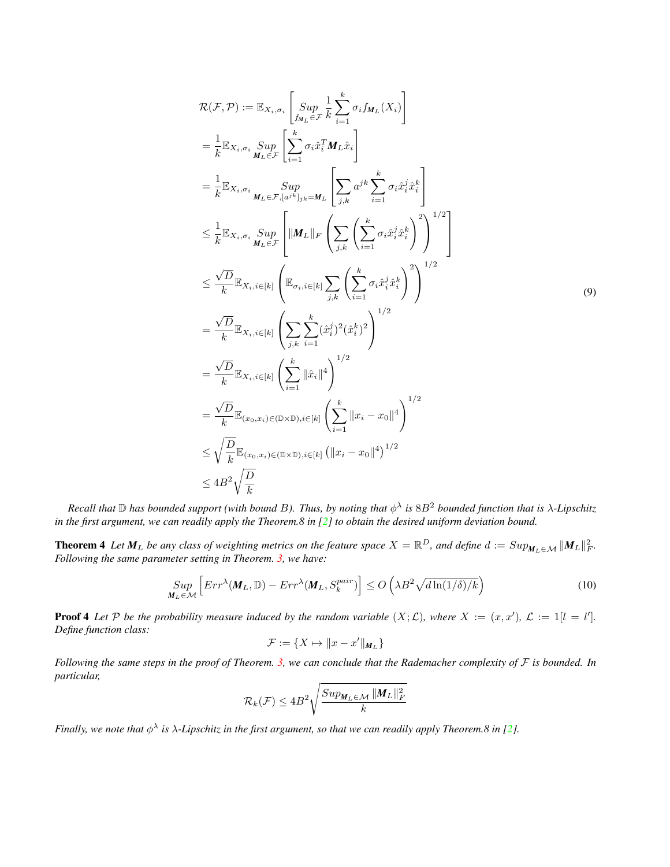<span id="page-3-1"></span>
$$
\mathcal{R}(\mathcal{F}, \mathcal{P}) := \mathbb{E}_{X_i, \sigma_i} \left[ \text{Sup } \frac{1}{\delta u_{\mathcal{F}}} \sum_{\tilde{t} = 1}^{k} \sigma_i f_{M_L}(X_i) \right]
$$
\n
$$
= \frac{1}{k} \mathbb{E}_{X_i, \sigma_i} \sup_{M_L \in \mathcal{F}} \left[ \sum_{i=1}^{k} \sigma_i \hat{x}_i^T M_L \hat{x}_i \right]
$$
\n
$$
= \frac{1}{k} \mathbb{E}_{X_i, \sigma_i} \sup_{M_L \in \mathcal{F}, [a^{jk}]_{jk} = M_L} \left[ \sum_{j,k} a^{jk} \sum_{i=1}^{k} \sigma_i \hat{x}_i^j \hat{x}_i^k \right]
$$
\n
$$
\leq \frac{1}{k} \mathbb{E}_{X_i, \sigma_i} \sup_{M_L \in \mathcal{F}} \left[ \|M_L\|_F \left( \sum_{j,k} \left( \sum_{i=1}^{k} \sigma_i \hat{x}_i^j \hat{x}_i^k \right)^2 \right)^{1/2} \right]
$$
\n
$$
\leq \frac{\sqrt{D}}{k} \mathbb{E}_{X_i, i \in [k]} \left( \mathbb{E}_{\sigma_i, i \in [k]} \sum_{j,k} \left( \sum_{i=1}^{k} \sigma_i \hat{x}_i^j \hat{x}_i^k \right)^2 \right)^{1/2}
$$
\n
$$
= \frac{\sqrt{D}}{k} \mathbb{E}_{X_i, i \in [k]} \left( \sum_{j,k} \sum_{i=1}^{k} (\hat{x}_j^j)^2 (\hat{x}_i^k)^2 \right)^{1/2}
$$
\n
$$
= \frac{\sqrt{D}}{k} \mathbb{E}_{X_i, i \in [k]} \left( \sum_{i=1}^{k} ||\hat{x}_i||^4 \right)^{1/2}
$$
\n
$$
= \frac{\sqrt{D}}{k} \mathbb{E}_{(x_0, x_i) \in (0 \times \mathbb{D}), i \in [k]} \left( \sum_{i=1}^{k} ||x_i - x_0||^4 \right)^{1/2}
$$
\n
$$
\leq 4B^2 \sqrt{\frac{D}{k}}
$$

 $Recall$  that  $D$  has bounded support (with bound B). Thus, by noting that  $\phi^{\lambda}$  is  $8B^2$  bounded function that is  $\lambda$ -Lipschitz *in the first argument, we can readily apply the Theorem.8 in [\[2\]](#page-6-2) to obtain the desired uniform deviation bound.* 

<span id="page-3-0"></span>**Theorem 4** Let  $M_L$  be any class of weighting metrics on the feature space  $X = \mathbb{R}^D$ , and define  $d := Sup_{M_L \in \mathcal{M}} ||M_L||_F^2$ . *Following the same parameter setting in Theorem. [3,](#page-2-1) we have:*

$$
\underset{\mathbf{M}_{L}\in\mathcal{M}}{Sup} \left[ Err^{\lambda}(\mathbf{M}_{L}, \mathbb{D}) - Err^{\lambda}(\mathbf{M}_{L}, S_{k}^{pair})\right] \leq O\left(\lambda B^{2}\sqrt{d\ln(1/\delta)/k}\right) \tag{10}
$$

**Proof 4** Let P be the probability measure induced by the random variable  $(X; \mathcal{L})$ , where  $X := (x, x')$ ,  $\mathcal{L} := 1[i = l']$ . *Define function class:*

$$
\mathcal{F} := \{ X \mapsto ||x - x'||_{M_L} \}
$$

*Following the same steps in the proof of Theorem. [3,](#page-2-1) we can conclude that the Rademacher complexity of* F *is bounded. In particular,*

$$
\mathcal{R}_k(\mathcal{F}) \le 4B^2 \sqrt{\frac{Sup_{\boldsymbol{M}_L \in \mathcal{M}} \|\boldsymbol{M}_L\|_F^2}{k}}
$$

*Finally, we note that*  $\phi^{\lambda}$  *is*  $\lambda$ -*Lipschitz in the first argument, so that we can readily apply Theorem.8 in [\[2\]](#page-6-2).*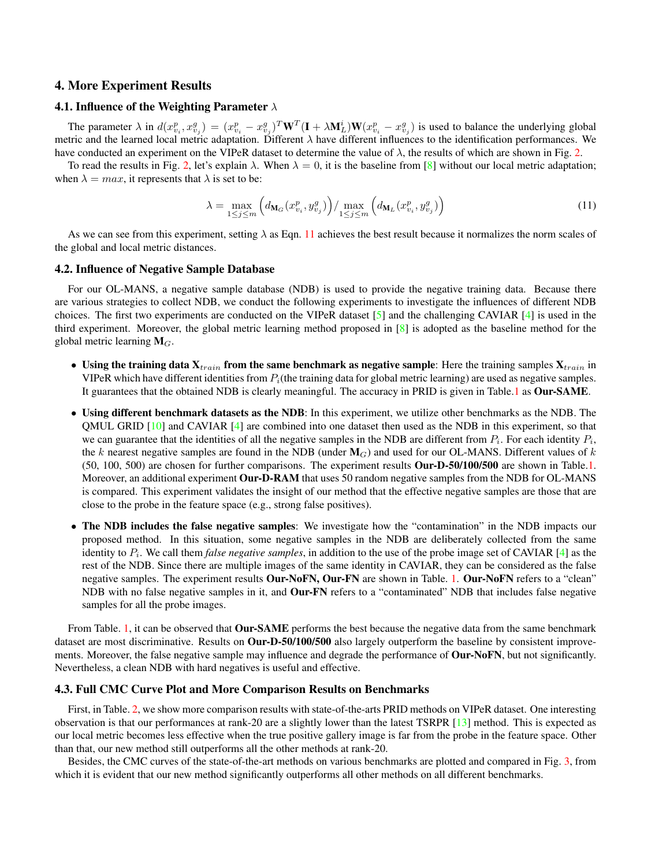#### <span id="page-4-1"></span>4. More Experiment Results

#### 4.1. Influence of the Weighting Parameter  $\lambda$

The parameter  $\lambda$  in  $d(x_{v_i}^p, x_{v_j}^g) = (x_{v_i}^p - x_{v_j}^g)^T \mathbf{W}^T (\mathbf{I} + \lambda \mathbf{M}_L^i) \mathbf{W}(x_{v_i}^p - x_{v_j}^g)$  is used to balance the underlying global metric and the learned local metric adaptation. Different  $\lambda$  have different influences to the identification performances. We have conducted an experiment on the VIPeR dataset to determine the value of  $\lambda$ , the results of which are shown in Fig. [2.](#page-5-0)

To read the results in Fig. [2,](#page-5-0) let's explain  $\lambda$ . When  $\lambda = 0$ , it is the baseline from [\[8\]](#page-6-0) without our local metric adaptation; when  $\lambda = max$ , it represents that  $\lambda$  is set to be:

<span id="page-4-0"></span>
$$
\lambda = \max_{1 \le j \le m} \left( d_{\mathbf{M}_G}(x_{v_i}^p, y_{v_j}^g) \right) / \max_{1 \le j \le m} \left( d_{\mathbf{M}_L}(x_{v_i}^p, y_{v_j}^g) \right) \tag{11}
$$

As we can see from this experiment, setting  $\lambda$  as Eqn. [11](#page-4-0) achieves the best result because it normalizes the norm scales of the global and local metric distances.

#### 4.2. Influence of Negative Sample Database

For our OL-MANS, a negative sample database (NDB) is used to provide the negative training data. Because there are various strategies to collect NDB, we conduct the following experiments to investigate the influences of different NDB choices. The first two experiments are conducted on the VIPeR dataset  $[5]$  and the challenging CAVIAR  $[4]$  is used in the third experiment. Moreover, the global metric learning method proposed in [\[8\]](#page-6-0) is adopted as the baseline method for the global metric learning  $M_G$ .

- Using the training data  $X_{train}$  from the same benchmark as negative sample: Here the training samples  $X_{train}$  in VIPeR which have different identities from  $P_i$ (the training data for global metric learning) are used as negative samples. It guarantees that the obtained NDB is clearly meaningful. The accuracy in PRID is given in Table[.1](#page-6-5) as Our-SAME.
- Using different benchmark datasets as the NDB: In this experiment, we utilize other benchmarks as the NDB. The QMUL GRID [\[10\]](#page-6-6) and CAVIAR [\[4\]](#page-6-4) are combined into one dataset then used as the NDB in this experiment, so that we can guarantee that the identities of all the negative samples in the NDB are different from  $P_i$ . For each identity  $P_i$ , the k nearest negative samples are found in the NDB (under  $M_G$ ) and used for our OL-MANS. Different values of k (50, 100, 500) are chosen for further comparisons. The experiment results Our-D-50/100/500 are shown in Table[.1.](#page-6-5) Moreover, an additional experiment **Our-D-RAM** that uses 50 random negative samples from the NDB for OL-MANS is compared. This experiment validates the insight of our method that the effective negative samples are those that are close to the probe in the feature space (e.g., strong false positives).
- The NDB includes the false negative samples: We investigate how the "contamination" in the NDB impacts our proposed method. In this situation, some negative samples in the NDB are deliberately collected from the same identity to  $P_i$ . We call them *false negative samples*, in addition to the use of the probe image set of CAVIAR  $[4]$  as the rest of the NDB. Since there are multiple images of the same identity in CAVIAR, they can be considered as the false negative samples. The experiment results Our-NoFN, Our-FN are shown in Table. [1.](#page-6-5) Our-NoFN refers to a "clean" NDB with no false negative samples in it, and **Our-FN** refers to a "contaminated" NDB that includes false negative samples for all the probe images.

From Table. [1,](#page-6-5) it can be observed that **Our-SAME** performs the best because the negative data from the same benchmark dataset are most discriminative. Results on Our-D-50/100/500 also largely outperform the baseline by consistent improvements. Moreover, the false negative sample may influence and degrade the performance of Our-NoFN, but not significantly. Nevertheless, a clean NDB with hard negatives is useful and effective.

#### 4.3. Full CMC Curve Plot and More Comparison Results on Benchmarks

First, in Table. [2,](#page-6-7) we show more comparison results with state-of-the-arts PRID methods on VIPeR dataset. One interesting observation is that our performances at rank-20 are a slightly lower than the latest TSRPR [\[13\]](#page-6-8) method. This is expected as our local metric becomes less effective when the true positive gallery image is far from the probe in the feature space. Other than that, our new method still outperforms all the other methods at rank-20.

Besides, the CMC curves of the state-of-the-art methods on various benchmarks are plotted and compared in Fig. [3,](#page-7-0) from which it is evident that our new method significantly outperforms all other methods on all different benchmarks.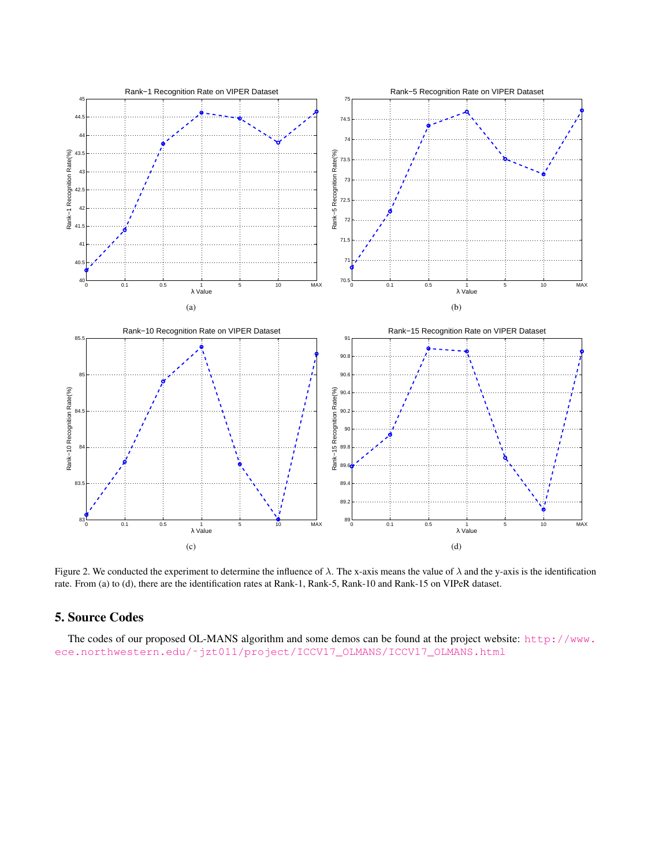

<span id="page-5-0"></span>Figure 2. We conducted the experiment to determine the influence of  $\lambda$ . The x-axis means the value of  $\lambda$  and the y-axis is the identification rate. From (a) to (d), there are the identification rates at Rank-1, Rank-5, Rank-10 and Rank-15 on VIPeR dataset.

# 5. Source Codes

The codes of our proposed OL-MANS algorithm and some demos can be found at the project website: [http://www.](http://www.ece.northwestern.edu/~jzt011/project/ICCV17_OLMANS/ICCV17_OLMANS.html) [ece.northwestern.edu/˜jzt011/project/ICCV17\\_OLMANS/ICCV17\\_OLMANS.html](http://www.ece.northwestern.edu/~jzt011/project/ICCV17_OLMANS/ICCV17_OLMANS.html)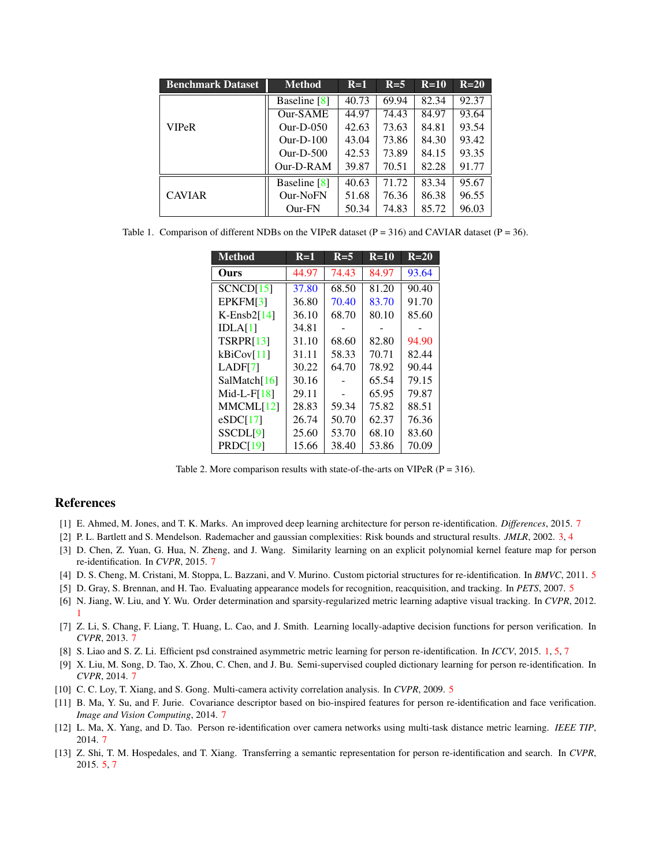<span id="page-6-15"></span>

| <b>Benchmark Dataset</b> | <b>Method</b> | $R=1$ | $R=5$ | $R=10$ | $R=20$ |
|--------------------------|---------------|-------|-------|--------|--------|
| <b>VIPeR</b>             | Baseline [8]  | 40.73 | 69.94 | 82.34  | 92.37  |
|                          | Our-SAME      | 44.97 | 74.43 | 84.97  | 93.64  |
|                          | $Our-D-0.50$  | 42.63 | 73.63 | 84.81  | 93.54  |
|                          | $Our-D-100$   | 43.04 | 73.86 | 84.30  | 93.42  |
|                          | $Our-D-500$   | 42.53 | 73.89 | 84.15  | 93.35  |
|                          | $Our-D-RAM$   | 39.87 | 70.51 | 82.28  | 91.77  |
| <b>CAVIAR</b>            | Baseline [8]  | 40.63 | 71.72 | 83.34  | 95.67  |
|                          | Our-NoFN      | 51.68 | 76.36 | 86.38  | 96.55  |
|                          | Our-FN        | 50.34 | 74.83 | 85.72  | 96.03  |

<span id="page-6-5"></span>Table 1. Comparison of different NDBs on the VIPeR dataset ( $P = 316$ ) and CAVIAR dataset ( $P = 36$ ).

| <b>Method</b>        | $R=1$ | $R=5$ | $R=10$ | $R=20$ |
|----------------------|-------|-------|--------|--------|
| Ours                 | 44.97 | 74.43 | 84.97  | 93.64  |
| SCNCD[15]            | 37.80 | 68.50 | 81.20  | 90.40  |
| EPKFM[3]             | 36.80 | 70.40 | 83.70  | 91.70  |
| $K$ -Ensb $2[14]$    | 36.10 | 68.70 | 80.10  | 85.60  |
| IDLA[1]              | 34.81 |       |        |        |
| <b>TSRPR[13]</b>     | 31.10 | 68.60 | 82.80  | 94.90  |
| kBiCov[11]           | 31.11 | 58.33 | 70.71  | 82.44  |
| LADF[7]              | 30.22 | 64.70 | 78.92  | 90.44  |
| SalMatch[16]         | 30.16 |       | 65.54  | 79.15  |
| $Mid-L-F[18]$        | 29.11 |       | 65.95  | 79.87  |
| MMCML[12]            | 28.83 | 59.34 | 75.82  | 88.51  |
| eSDCI171             | 26.74 | 50.70 | 62.37  | 76.36  |
| SSCDL <sup>[9]</sup> | 25.60 | 53.70 | 68.10  | 83.60  |
| PRDC[19]             | 15.66 | 38.40 | 53.86  | 70.09  |

<span id="page-6-7"></span>Table 2. More comparison results with state-of-the-arts on VIPeR ( $P = 316$ ).

#### References

- <span id="page-6-10"></span>[1] E. Ahmed, M. Jones, and T. K. Marks. An improved deep learning architecture for person re-identification. *Differences*, 2015. [7](#page-6-15)
- <span id="page-6-2"></span>[2] P. L. Bartlett and S. Mendelson. Rademacher and gaussian complexities: Risk bounds and structural results. *JMLR*, 2002. [3,](#page-2-3) [4](#page-3-1)
- <span id="page-6-9"></span>[3] D. Chen, Z. Yuan, G. Hua, N. Zheng, and J. Wang. Similarity learning on an explicit polynomial kernel feature map for person re-identification. In *CVPR*, 2015. [7](#page-6-15)
- <span id="page-6-4"></span>[4] D. S. Cheng, M. Cristani, M. Stoppa, L. Bazzani, and V. Murino. Custom pictorial structures for re-identification. In *BMVC*, 2011. [5](#page-4-1)
- <span id="page-6-3"></span>[5] D. Gray, S. Brennan, and H. Tao. Evaluating appearance models for recognition, reacquisition, and tracking. In *PETS*, 2007. [5](#page-4-1)
- <span id="page-6-1"></span>[6] N. Jiang, W. Liu, and Y. Wu. Order determination and sparsity-regularized metric learning adaptive visual tracking. In *CVPR*, 2012. [1](#page-0-3)
- <span id="page-6-12"></span>[7] Z. Li, S. Chang, F. Liang, T. Huang, L. Cao, and J. Smith. Learning locally-adaptive decision functions for person verification. In *CVPR*, 2013. [7](#page-6-15)
- <span id="page-6-0"></span>[8] S. Liao and S. Z. Li. Efficient psd constrained asymmetric metric learning for person re-identification. In *ICCV*, 2015. [1,](#page-0-3) [5,](#page-4-1) [7](#page-6-15)
- <span id="page-6-14"></span>[9] X. Liu, M. Song, D. Tao, X. Zhou, C. Chen, and J. Bu. Semi-supervised coupled dictionary learning for person re-identification. In *CVPR*, 2014. [7](#page-6-15)
- <span id="page-6-6"></span>[10] C. C. Loy, T. Xiang, and S. Gong. Multi-camera activity correlation analysis. In *CVPR*, 2009. [5](#page-4-1)
- <span id="page-6-11"></span>[11] B. Ma, Y. Su, and F. Jurie. Covariance descriptor based on bio-inspired features for person re-identification and face verification. *Image and Vision Computing*, 2014. [7](#page-6-15)
- <span id="page-6-13"></span>[12] L. Ma, X. Yang, and D. Tao. Person re-identification over camera networks using multi-task distance metric learning. *IEEE TIP*, 2014. [7](#page-6-15)
- <span id="page-6-8"></span>[13] Z. Shi, T. M. Hospedales, and T. Xiang. Transferring a semantic representation for person re-identification and search. In *CVPR*, 2015. [5,](#page-4-1) [7](#page-6-15)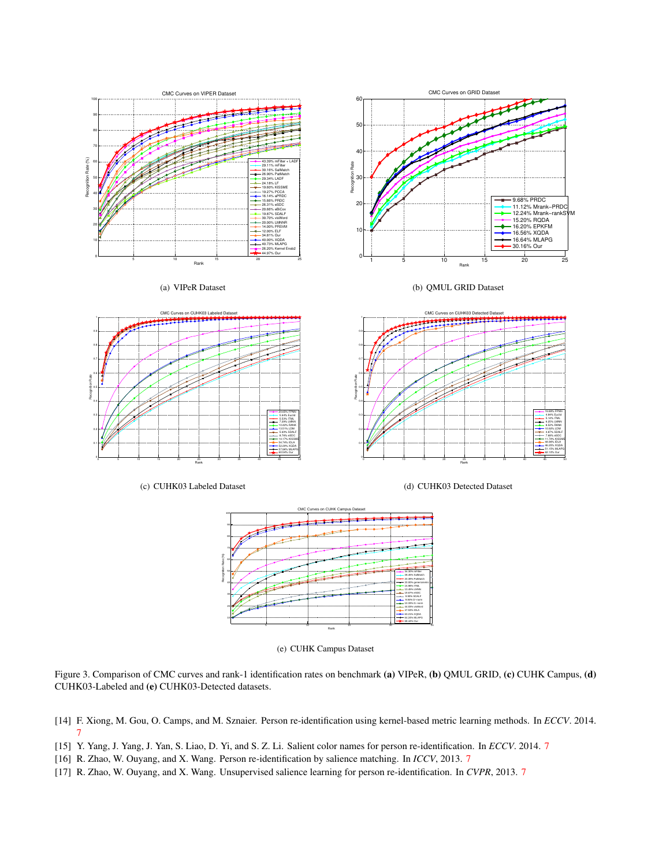



<span id="page-7-0"></span>Figure 3. Comparison of CMC curves and rank-1 identification rates on benchmark (a) VIPeR, (b) QMUL GRID, (c) CUHK Campus, (d) CUHK03-Labeled and (e) CUHK03-Detected datasets.

- <span id="page-7-2"></span>[14] F. Xiong, M. Gou, O. Camps, and M. Sznaier. Person re-identification using kernel-based metric learning methods. In *ECCV*. 2014. [7](#page-6-15)
- <span id="page-7-1"></span>[15] Y. Yang, J. Yang, J. Yan, S. Liao, D. Yi, and S. Z. Li. Salient color names for person re-identification. In *ECCV*. 2014. [7](#page-6-15)
- <span id="page-7-3"></span>[16] R. Zhao, W. Ouyang, and X. Wang. Person re-identification by salience matching. In *ICCV*, 2013. [7](#page-6-15)
- <span id="page-7-4"></span>[17] R. Zhao, W. Ouyang, and X. Wang. Unsupervised salience learning for person re-identification. In *CVPR*, 2013. [7](#page-6-15)